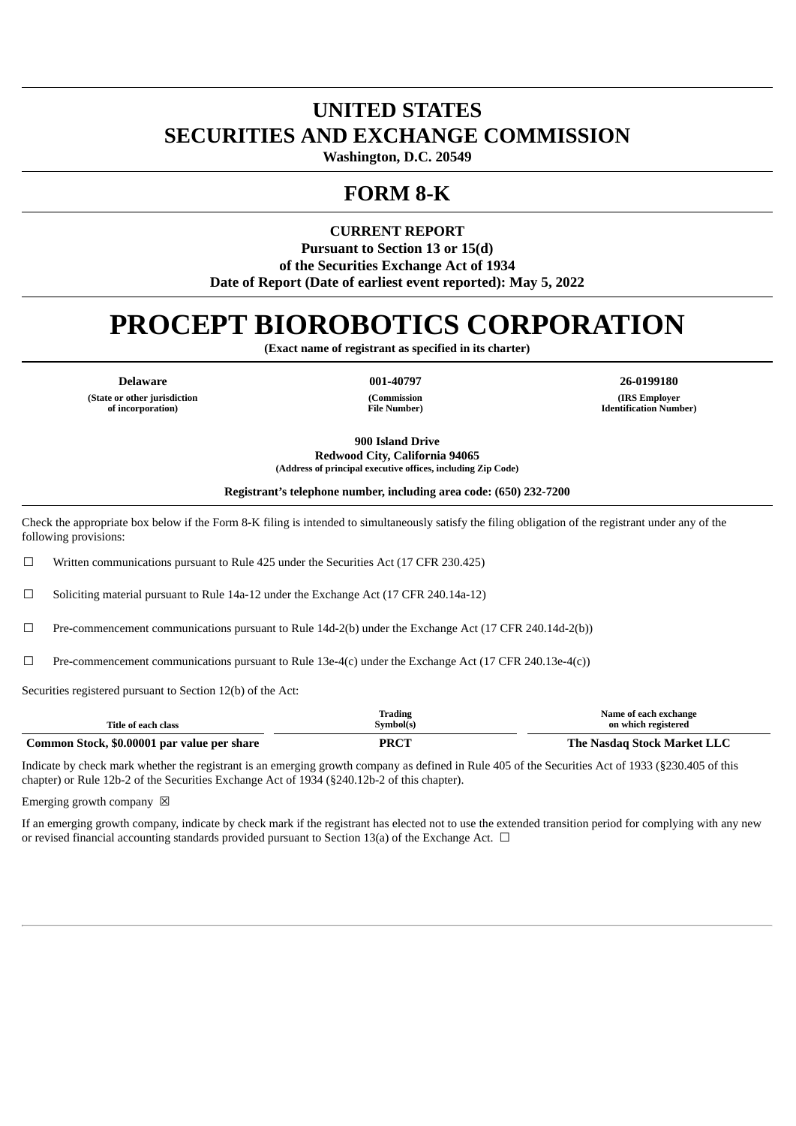# **UNITED STATES SECURITIES AND EXCHANGE COMMISSION**

**Washington, D.C. 20549**

# **FORM 8-K**

**CURRENT REPORT**

**Pursuant to Section 13 or 15(d) of the Securities Exchange Act of 1934 Date of Report (Date of earliest event reported): May 5, 2022**

# **PROCEPT BIOROBOTICS CORPORATION**

**(Exact name of registrant as specified in its charter)**

**Delaware 001-40797 26-0199180 (State or other jurisdiction of incorporation)**

**(Commission File Number)**

**(IRS Employer Identification Number)**

**900 Island Drive**

**Redwood City, California 94065 (Address of principal executive offices, including Zip Code)**

**Registrant's telephone number, including area code: (650) 232-7200**

Check the appropriate box below if the Form 8-K filing is intended to simultaneously satisfy the filing obligation of the registrant under any of the following provisions:

☐ Written communications pursuant to Rule 425 under the Securities Act (17 CFR 230.425)

☐ Soliciting material pursuant to Rule 14a-12 under the Exchange Act (17 CFR 240.14a-12)

☐ Pre-commencement communications pursuant to Rule 14d-2(b) under the Exchange Act (17 CFR 240.14d-2(b))

 $□$  Pre-commencement communications pursuant to Rule 13e-4(c) under the Exchange Act (17 CFR 240.13e-4(c))

Securities registered pursuant to Section 12(b) of the Act:

| Title of each class                         | <b>Trading</b><br>Symbol(s) | Name of each exchange<br>on which registered |  |
|---------------------------------------------|-----------------------------|----------------------------------------------|--|
| Common Stock, \$0.00001 par value per share | PRCT                        | <b>The Nasdag Stock Market LLC</b>           |  |

Indicate by check mark whether the registrant is an emerging growth company as defined in Rule 405 of the Securities Act of 1933 (§230.405 of this chapter) or Rule 12b-2 of the Securities Exchange Act of 1934 (§240.12b-2 of this chapter).

Emerging growth company  $\boxtimes$ 

If an emerging growth company, indicate by check mark if the registrant has elected not to use the extended transition period for complying with any new or revised financial accounting standards provided pursuant to Section 13(a) of the Exchange Act.  $\Box$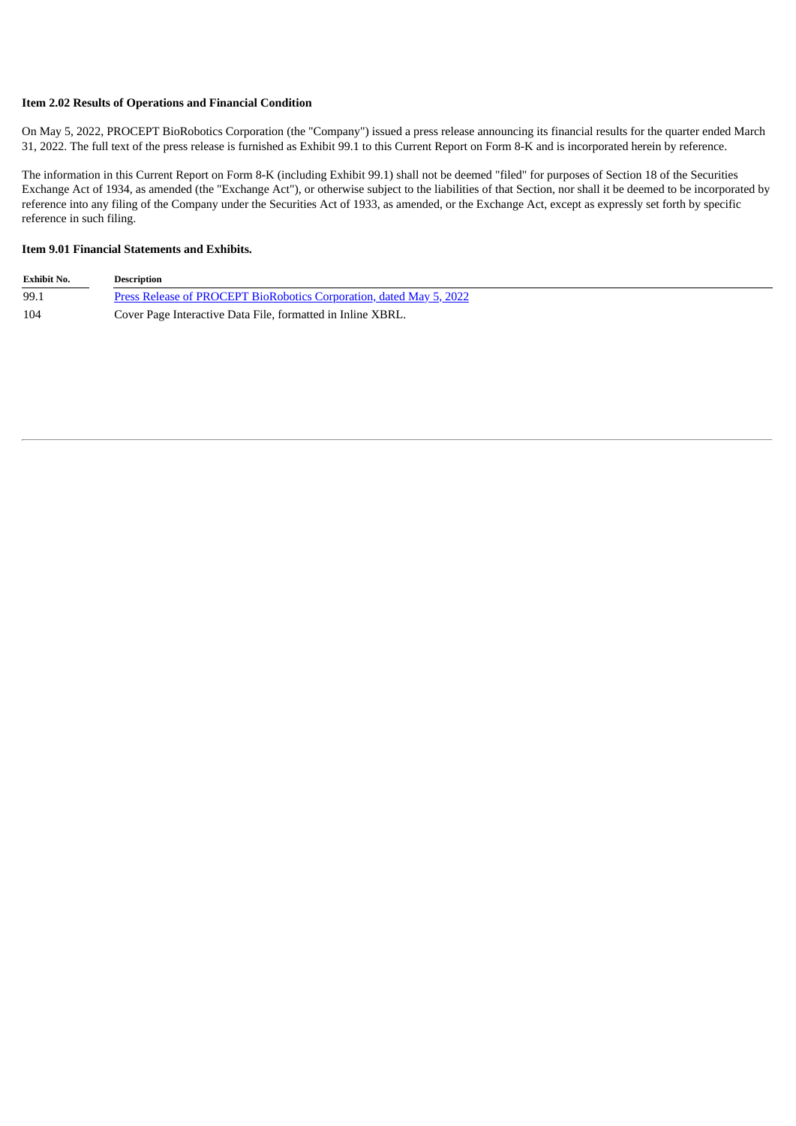# **Item 2.02 Results of Operations and Financial Condition**

On May 5, 2022, PROCEPT BioRobotics Corporation (the "Company") issued a press release announcing its financial results for the quarter ended March 31, 2022. The full text of the press release is furnished as Exhibit 99.1 to this Current Report on Form 8-K and is incorporated herein by reference.

The information in this Current Report on Form 8-K (including Exhibit 99.1) shall not be deemed "filed" for purposes of Section 18 of the Securities Exchange Act of 1934, as amended (the "Exchange Act"), or otherwise subject to the liabilities of that Section, nor shall it be deemed to be incorporated by reference into any filing of the Company under the Securities Act of 1933, as amended, or the Exchange Act, except as expressly set forth by specific reference in such filing.

# **Item 9.01 Financial Statements and Exhibits.**

| Exhibit No. | <b>Description</b>                                                         |
|-------------|----------------------------------------------------------------------------|
| 99.1        | <b>Press Release of PROCEPT BioRobotics Corporation, dated May 5, 2022</b> |
| 104         | Cover Page Interactive Data File, formatted in Inline XBRL.                |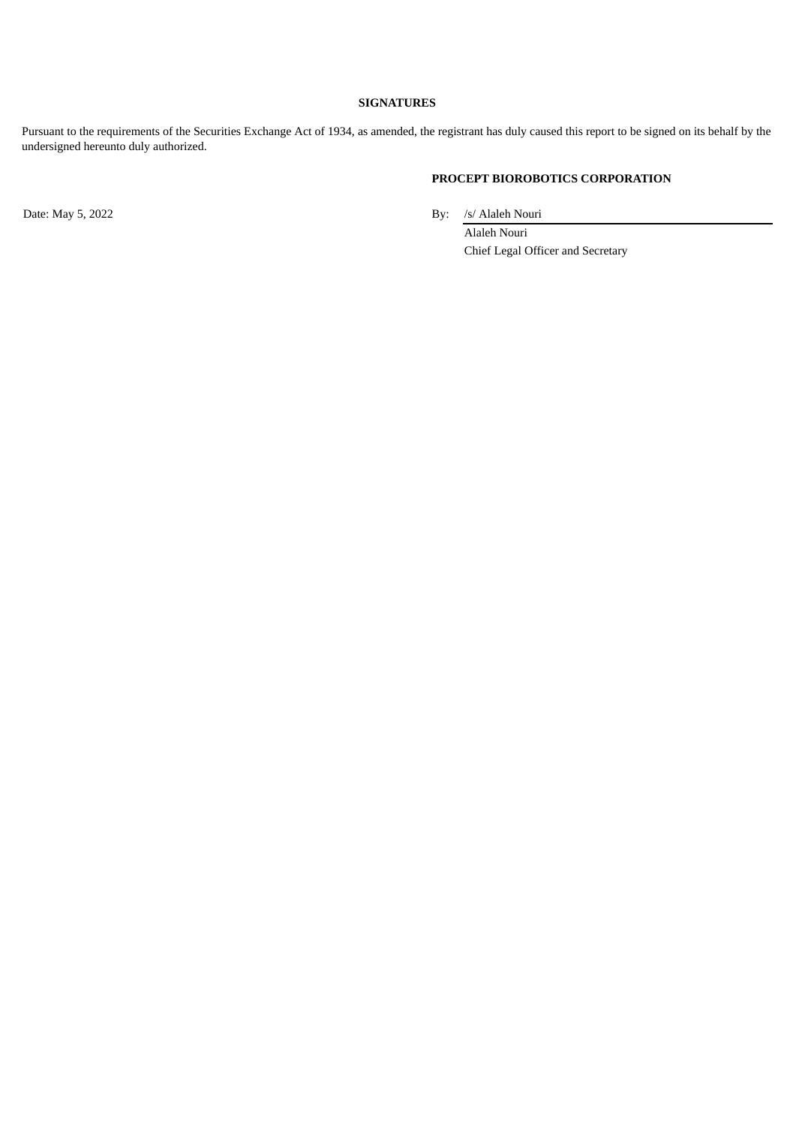# **SIGNATURES**

Pursuant to the requirements of the Securities Exchange Act of 1934, as amended, the registrant has duly caused this report to be signed on its behalf by the undersigned hereunto duly authorized.

# **PROCEPT BIOROBOTICS CORPORATION**

Date: May 5, 2022 By: /s/ Alaleh Nouri

Alaleh Nouri Chief Legal Officer and Secretary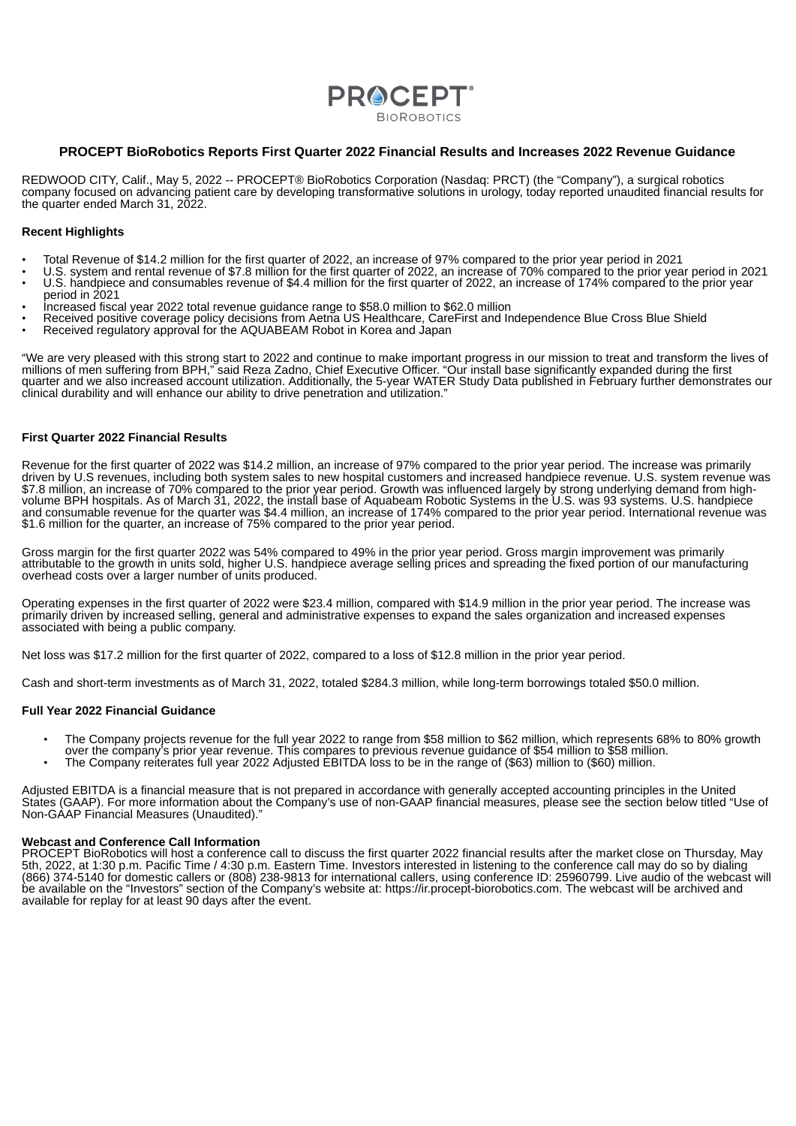

# <span id="page-3-0"></span>**PROCEPT BioRobotics Reports First Quarter 2022 Financial Results and Increases 2022 Revenue Guidance**

REDWOOD CITY, Calif., May 5, 2022 -- PROCEPT® BioRobotics Corporation (Nasdaq: PRCT) (the "Company"), a surgical robotics company focused on advancing patient care by developing transformative solutions in urology, today reported unaudited financial results for the quarter ended March 31, 2022.

#### **Recent Highlights**

- Total Revenue of \$14.2 million for the first quarter of 2022, an increase of 97% compared to the prior year period in 2021
- U.S. system and rental revenue of \$7.8 million for the first quarter of 2022, an increase of 70% compared to the prior year period in 2021
- U.S. handpiece and consumables revenue of \$4.4 million for the first quarter of 2022, an increase of 174% compared to the prior year period in 2021
- Increased fiscal year 2022 total revenue guidance range to \$58.0 million to \$62.0 million
- Received positive coverage policy decisions from Aetna US Healthcare, CareFirst and Independence Blue Cross Blue Shield
- Received regulatory approval for the AQUABEAM Robot in Korea and Japan

"We are very pleased with this strong start to 2022 and continue to make important progress in our mission to treat and transform the lives of millions of men suffering from BPH," said Reza Zadno, Chief Executive Officer. "Our install base significantly expanded during the first quarter and we also increased account utilization. Additionally, the 5-year WATER Study Data published in February further demonstrates our clinical durability and will enhance our ability to drive penetration and utilization."

#### **First Quarter 2022 Financial Results**

Revenue for the first quarter of 2022 was \$14.2 million, an increase of 97% compared to the prior year period. The increase was primarily driven by U.S revenues, including both system sales to new hospital customers and increased handpiece revenue. U.S. system revenue was \$7.8 million, an increase of 70% compared to the prior year period. Growth was influenced largely by strong underlying demand from highvolume BPH hospitals. As of March 31, 2022, the install base of Aquabeam Robotic Systems in the U.S. was 93 systems. U.S. handpiece and consumable revenue for the quarter was \$4.4 million, an increase of 174% compared to the prior year period. International revenue was \$1.6 million for the quarter, an increase of 75% compared to the prior year period.

Gross margin for the first quarter 2022 was 54% compared to 49% in the prior year period. Gross margin improvement was primarily attributable to the growth in units sold, higher U.S. handpiece average selling prices and spreading the fixed portion of our manufacturing overhead costs over a larger number of units produced.

Operating expenses in the first quarter of 2022 were \$23.4 million, compared with \$14.9 million in the prior year period. The increase was primarily driven by increased selling, general and administrative expenses to expand the sales organization and increased expenses associated with being a public company.

Net loss was \$17.2 million for the first quarter of 2022, compared to a loss of \$12.8 million in the prior year period.

Cash and short-term investments as of March 31, 2022, totaled \$284.3 million, while long-term borrowings totaled \$50.0 million.

#### **Full Year 2022 Financial Guidance**

- The Company projects revenue for the full year 2022 to range from \$58 million to \$62 million, which represents 68% to 80% growth
- over the company's prior year revenue. This compares to previous revenue guidance of \$54 million to \$58 million.
- The Company reiterates full year 2022 Adjusted EBITDA loss to be in the range of (\$63) million to (\$60) million.

Adjusted EBITDA is a financial measure that is not prepared in accordance with generally accepted accounting principles in the United States (GAAP). For more information about the Company's use of non-GAAP financial measures, please see the section below titled "Use of Non-GAAP Financial Measures (Unaudited)."

#### **Webcast and Conference Call Information**

PROCEPT BioRobotics will host a conference call to discuss the first quarter 2022 financial results after the market close on Thursday, May 5th, 2022, at 1:30 p.m. Pacific Time / 4:30 p.m. Eastern Time. Investors interested in listening to the conference call may do so by dialing (866) 374-5140 for domestic callers or (808) 238-9813 for international callers, using conference ID: 25960799. Live audio of the webcast will be available on the "Investors" section of the Company's website at: https://ir.procept-biorobotics.com. The webcast will be archived and available for replay for at least 90 days after the event.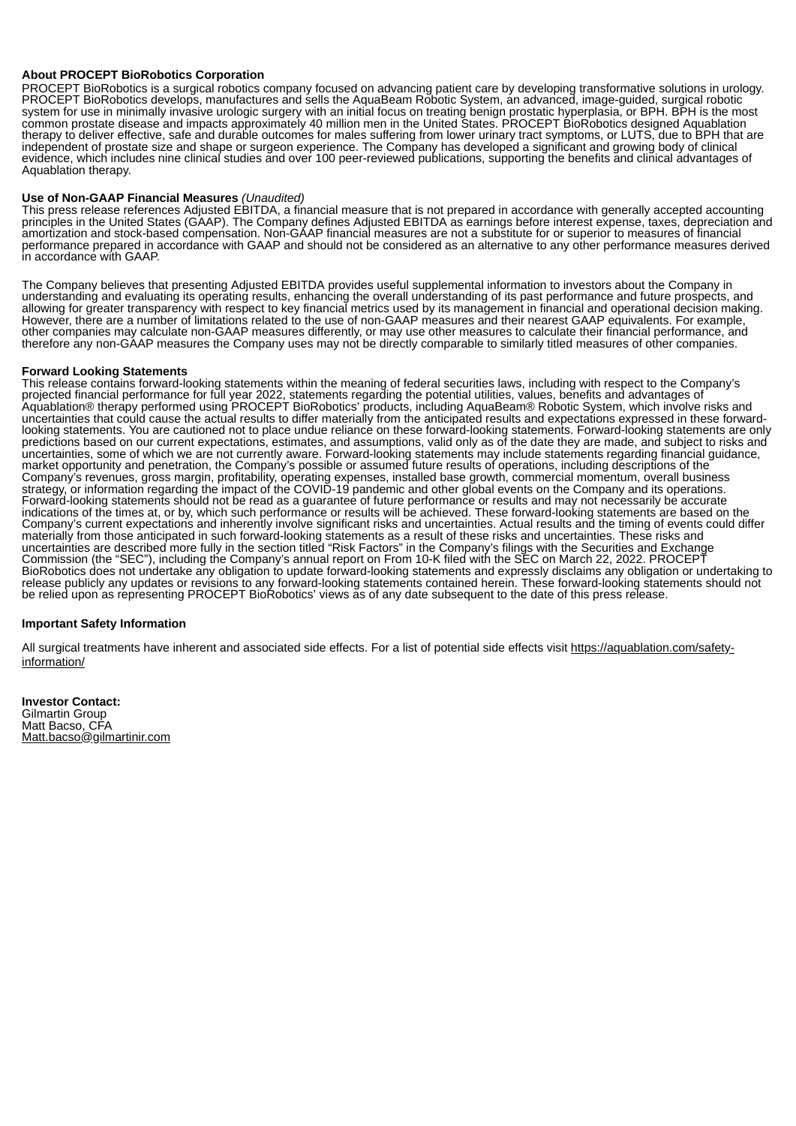#### **About PROCEPT BioRobotics Corporation**

PROCEPT BioRobotics is a surgical robotics company focused on advancing patient care by developing transformative solutions in urology. PROCEPT BioRobotics develops, manufactures and sells the AquaBeam Robotic System, an advanced, image-guided, surgical robotic system for use in minimally invasive urologic surgery with an initial focus on treating benign prostatic hyperplasia, or BPH. BPH is the most common prostate disease and impacts approximately 40 million men in the United States. PROCEPT BioRobotics designed Aquablation therapy to deliver effective, safe and durable outcomes for males suffering from lower urinary tract symptoms, or LUTS, due to BPH that are independent of prostate size and shape or surgeon experience. The Company has developed a significant and growing body of clinical evidence, which includes nine clinical studies and over 100 peer-reviewed publications, supporting the benefits and clinical advantages of Aquablation therapy.

#### **Use of Non-GAAP Financial Measures** *(Unaudited)*

This press release references Adjusted EBITDA, a financial measure that is not prepared in accordance with generally accepted accounting principles in the United States (GAAP). The Company defines Adjusted EBITDA as earnings before interest expense, taxes, depreciation and amortization and stock-based compensation. Non-GAAP financial measures are not a substitute for or superior to measures of financial performance prepared in accordance with GAAP and should not be considered as an alternative to any other performance measures derived in accordance with GAAP.

The Company believes that presenting Adjusted EBITDA provides useful supplemental information to investors about the Company in understanding and evaluating its operating results, enhancing the overall understanding of its past performance and future prospects, and allowing for greater transparency with respect to key financial metrics used by its management in financial and operational decision making. However, there are a number of limitations related to the use of non-GAAP measures and their nearest GAAP equivalents. For example, other companies may calculate non-GAAP measures differently, or may use other measures to calculate their financial performance, and therefore any non-GAAP measures the Company uses may not be directly comparable to similarly titled measures of other companies.

#### **Forward Looking Statements**

This release contains forward‐looking statements within the meaning of federal securities laws, including with respect to the Company's projected financial performance for full year 2022, statements regarding the potential utilities, values, benefits and advantages of Aquablation® therapy performed using PROCEPT BioRobotics' products, including AquaBeam® Robotic System, which involve risks and uncertainties that could cause the actual results to differ materially from the anticipated results and expectations expressed in these forwardlooking statements. You are cautioned not to place undue reliance on these forward-looking statements. Forward-looking statements are only predictions based on our current expectations, estimates, and assumptions, valid only as of the date they are made, and subject to risks and uncertainties, some of which we are not currently aware. Forward-looking statements may include statements regarding financial guidance, market opportunity and penetration, the Company's possible or assumed future results of operations, including descriptions of the Company's revenues, gross margin, profitability, operating expenses, installed base growth, commercial momentum, overall business strategy, or information regarding the impact of the COVID-19 pandemic and other global events on the Company and its operations. Forward‐looking statements should not be read as a guarantee of future performance or results and may not necessarily be accurate indications of the times at, or by, which such performance or results will be achieved. These forward‐looking statements are based on the Company's current expectations and inherently involve significant risks and uncertainties. Actual results and the timing of events could differ materially from those anticipated in such forward‐looking statements as a result of these risks and uncertainties. These risks and uncertainties are described more fully in the section titled "Risk Factors" in the Company's filings with the Securities and Exchange Commission (the "SEC"), including the Company's annual report on From 10-K filed with the SEC on March 22, 2022. PROCEPT BioRobotics does not undertake any obligation to update forward‐looking statements and expressly disclaims any obligation or undertaking to release publicly any updates or revisions to any forward‐looking statements contained herein. These forward-looking statements should not be relied upon as representing PROCEPT BioRobotics' views as of any date subsequent to the date of this press release.

#### **Important Safety Information**

All surgical treatments have inherent and associated side effects. For a list of potential side effects visit https://aquablation.com/safetyinformation/

**Investor Contact:** Gilmartin Group Matt Bacso, CFA Matt.bacso@gilmartinir.com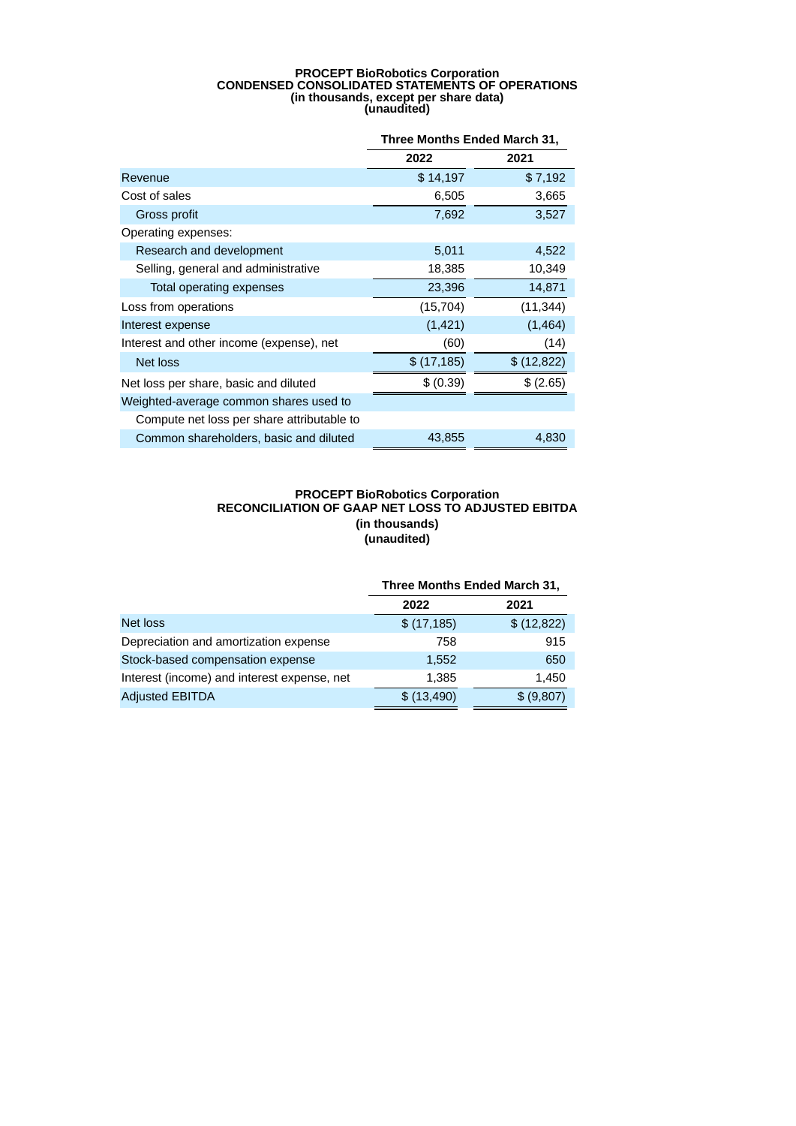#### **PROCEPT BioRobotics Corporation CONDENSED CONSOLIDATED STATEMENTS OF OPERATIONS (in thousands, except per share data) (unaudited)**

|                                            | Three Months Ended March 31, |              |
|--------------------------------------------|------------------------------|--------------|
|                                            | 2022                         | 2021         |
| Revenue                                    | \$14,197                     | \$7,192      |
| Cost of sales                              | 6,505                        | 3,665        |
| Gross profit                               | 7,692                        | 3,527        |
| Operating expenses:                        |                              |              |
| Research and development                   | 5,011                        | 4,522        |
| Selling, general and administrative        | 18,385                       | 10,349       |
| Total operating expenses                   | 23,396                       | 14,871       |
| Loss from operations                       | (15, 704)                    | (11, 344)    |
| Interest expense                           | (1, 421)                     | (1,464)      |
| Interest and other income (expense), net   | (60)                         | (14)         |
| Net loss                                   | \$(17, 185)                  | \$ (12, 822) |
| Net loss per share, basic and diluted      | \$ (0.39)                    | \$(2.65)     |
| Weighted-average common shares used to     |                              |              |
| Compute net loss per share attributable to |                              |              |
| Common shareholders, basic and diluted     | 43,855                       | 4.830        |

## **PROCEPT BioRobotics Corporation RECONCILIATION OF GAAP NET LOSS TO ADJUSTED EBITDA (in thousands) (unaudited)**

|                                             | Three Months Ended March 31, |             |
|---------------------------------------------|------------------------------|-------------|
|                                             | 2022                         | 2021        |
| Net loss                                    | \$(17, 185)                  | \$ (12,822) |
| Depreciation and amortization expense       | 758                          | 915         |
| Stock-based compensation expense            | 1,552                        | 650         |
| Interest (income) and interest expense, net | 1,385                        | 1,450       |
| <b>Adjusted EBITDA</b>                      | \$ (13, 490)                 | \$ (9,807)  |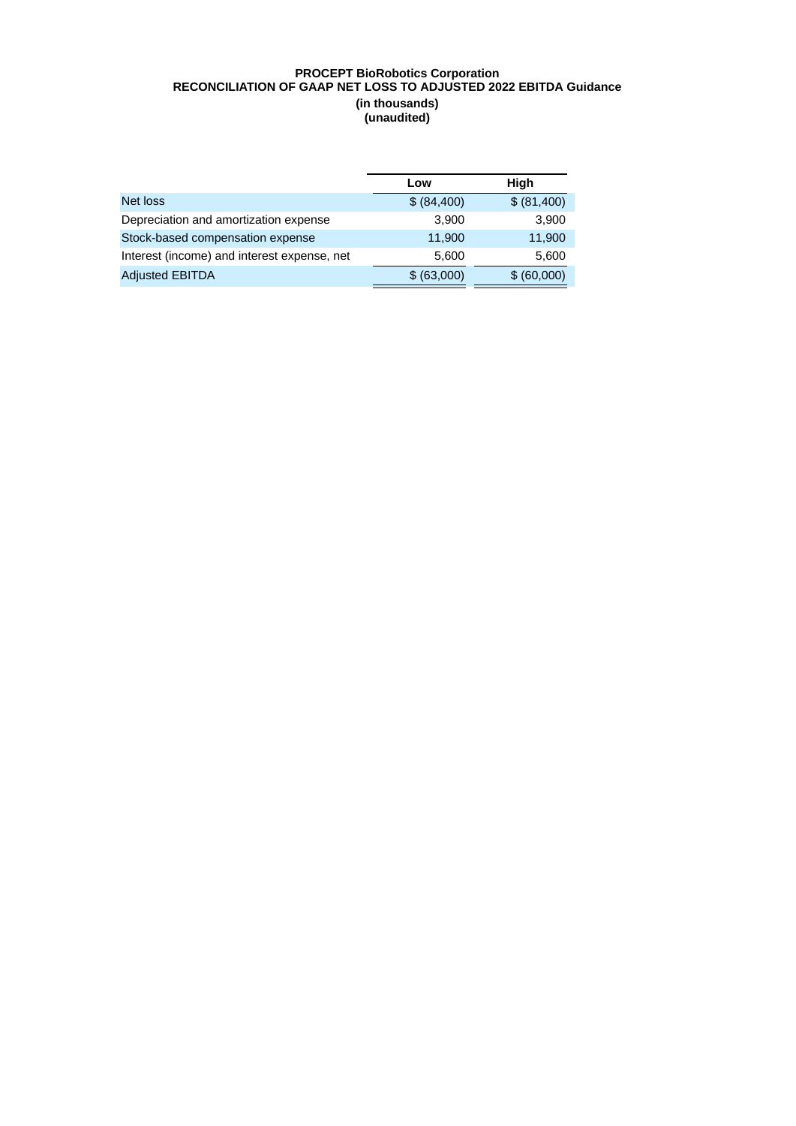## **PROCEPT BioRobotics Corporation RECONCILIATION OF GAAP NET LOSS TO ADJUSTED 2022 EBITDA Guidance (in thousands) (unaudited)**

|                                             | Low         | High        |
|---------------------------------------------|-------------|-------------|
| Net loss                                    | \$ (84,400) | \$ (81,400) |
| Depreciation and amortization expense       | 3,900       | 3,900       |
| Stock-based compensation expense            | 11,900      | 11,900      |
| Interest (income) and interest expense, net | 5.600       | 5,600       |
| <b>Adjusted EBITDA</b>                      | \$ (63,000) | \$ (60,000) |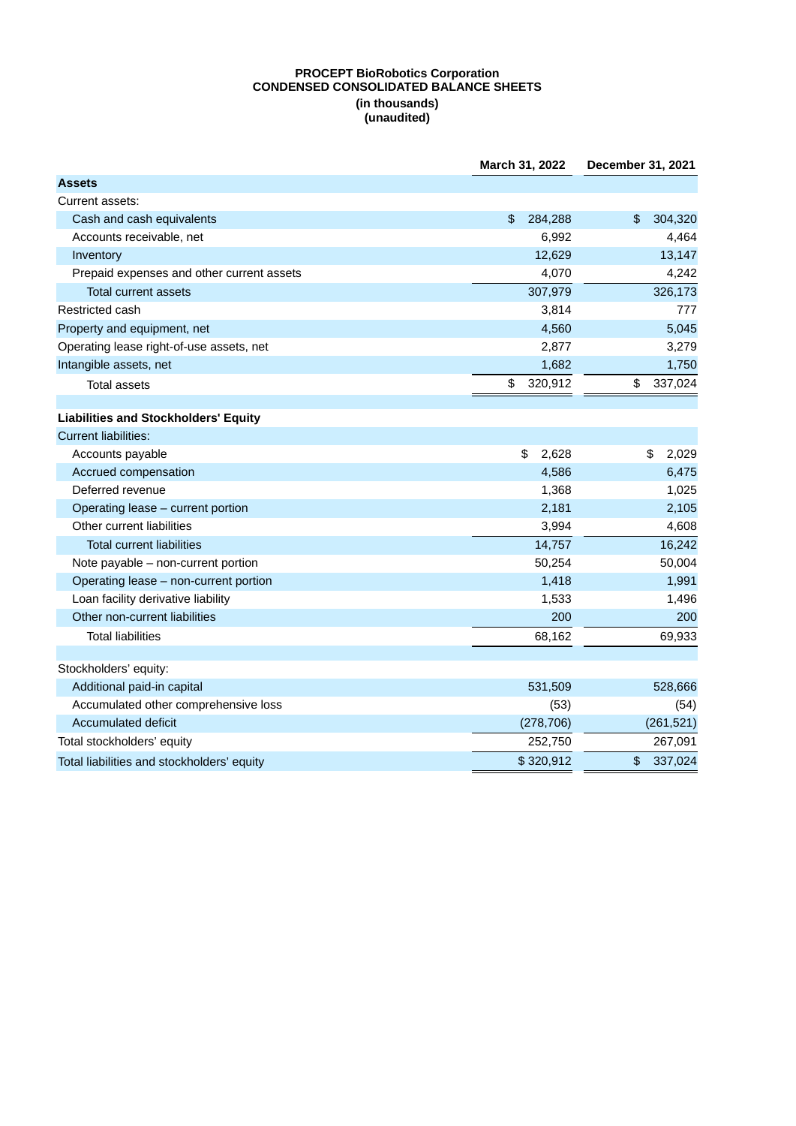## **PROCEPT BioRobotics Corporation CONDENSED CONSOLIDATED BALANCE SHEETS (in thousands) (unaudited)**

|                                             | March 31, 2022 | December 31, 2021 |
|---------------------------------------------|----------------|-------------------|
| <b>Assets</b>                               |                |                   |
| Current assets:                             |                |                   |
| Cash and cash equivalents                   | \$<br>284,288  | \$<br>304,320     |
| Accounts receivable, net                    | 6,992          | 4,464             |
| Inventory                                   | 12,629         | 13,147            |
| Prepaid expenses and other current assets   | 4,070          | 4,242             |
| Total current assets                        | 307,979        | 326,173           |
| Restricted cash                             | 3,814          | 777               |
| Property and equipment, net                 | 4,560          | 5,045             |
| Operating lease right-of-use assets, net    | 2,877          | 3,279             |
| Intangible assets, net                      | 1,682          | 1,750             |
| <b>Total assets</b>                         | 320,912<br>\$  | 337,024<br>\$     |
| <b>Liabilities and Stockholders' Equity</b> |                |                   |
| <b>Current liabilities:</b>                 |                |                   |
| Accounts payable                            | 2,628<br>\$    | 2,029<br>\$       |
| Accrued compensation                        | 4,586          | 6,475             |
| Deferred revenue                            | 1,368          | 1,025             |
| Operating lease - current portion           | 2,181          | 2,105             |
| Other current liabilities                   | 3,994          | 4,608             |
| <b>Total current liabilities</b>            | 14,757         | 16,242            |
| Note payable - non-current portion          | 50,254         | 50,004            |
| Operating lease – non-current portion       | 1,418          | 1,991             |
| Loan facility derivative liability          | 1,533          | 1,496             |
| Other non-current liabilities               | 200            | 200               |
| <b>Total liabilities</b>                    | 68,162         | 69,933            |
| Stockholders' equity:                       |                |                   |
| Additional paid-in capital                  | 531,509        | 528,666           |
| Accumulated other comprehensive loss        | (53)           | (54)              |
| <b>Accumulated deficit</b>                  | (278, 706)     | (261, 521)        |
| Total stockholders' equity                  | 252,750        | 267,091           |
| Total liabilities and stockholders' equity  | \$320,912      | 337,024<br>\$     |